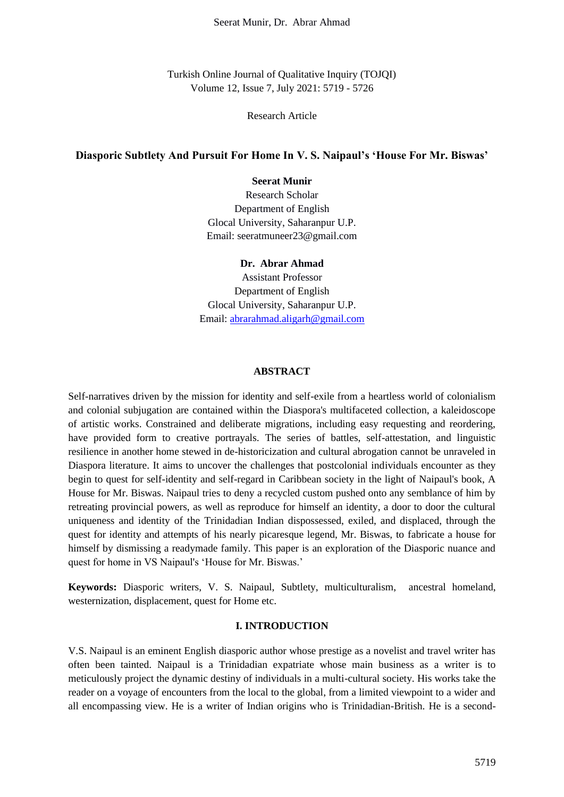Turkish Online Journal of Qualitative Inquiry (TOJQI) Volume 12, Issue 7, July 2021: 5719 - 5726

## Research Article

## **Diasporic Subtlety And Pursuit For Home In V. S. Naipaul's 'House For Mr. Biswas'**

# **Seerat Munir**

Research Scholar Department of English Glocal University, Saharanpur U.P. Email: seeratmuneer23@gmail.com

# **Dr. Abrar Ahmad**

Assistant Professor Department of English Glocal University, Saharanpur U.P. Email: [abrarahmad.aligarh@gmail.com](mailto:abrarahmad.aligarh@gmail.com)

#### **ABSTRACT**

Self-narratives driven by the mission for identity and self-exile from a heartless world of colonialism and colonial subjugation are contained within the Diaspora's multifaceted collection, a kaleidoscope of artistic works. Constrained and deliberate migrations, including easy requesting and reordering, have provided form to creative portrayals. The series of battles, self-attestation, and linguistic resilience in another home stewed in de-historicization and cultural abrogation cannot be unraveled in Diaspora literature. It aims to uncover the challenges that postcolonial individuals encounter as they begin to quest for self-identity and self-regard in Caribbean society in the light of Naipaul's book, A House for Mr. Biswas. Naipaul tries to deny a recycled custom pushed onto any semblance of him by retreating provincial powers, as well as reproduce for himself an identity, a door to door the cultural uniqueness and identity of the Trinidadian Indian dispossessed, exiled, and displaced, through the quest for identity and attempts of his nearly picaresque legend, Mr. Biswas, to fabricate a house for himself by dismissing a readymade family. This paper is an exploration of the Diasporic nuance and quest for home in VS Naipaul's 'House for Mr. Biswas.'

**Keywords:** Diasporic writers, V. S. Naipaul, Subtlety, multiculturalism, ancestral homeland, westernization, displacement, quest for Home etc.

### **I. INTRODUCTION**

V.S. Naipaul is an eminent English diasporic author whose prestige as a novelist and travel writer has often been tainted. Naipaul is a Trinidadian expatriate whose main business as a writer is to meticulously project the dynamic destiny of individuals in a multi-cultural society. His works take the reader on a voyage of encounters from the local to the global, from a limited viewpoint to a wider and all encompassing view. He is a writer of Indian origins who is Trinidadian-British. He is a second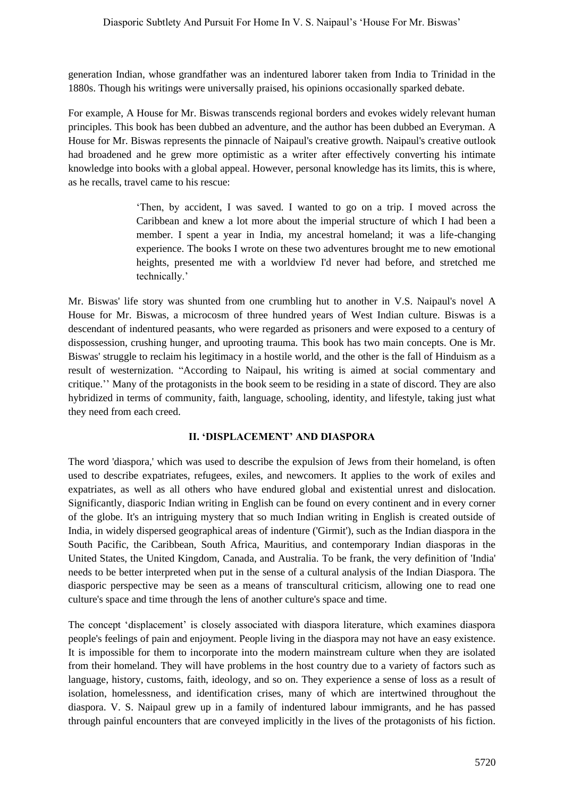generation Indian, whose grandfather was an indentured laborer taken from India to Trinidad in the 1880s. Though his writings were universally praised, his opinions occasionally sparked debate.

For example, A House for Mr. Biswas transcends regional borders and evokes widely relevant human principles. This book has been dubbed an adventure, and the author has been dubbed an Everyman. A House for Mr. Biswas represents the pinnacle of Naipaul's creative growth. Naipaul's creative outlook had broadened and he grew more optimistic as a writer after effectively converting his intimate knowledge into books with a global appeal. However, personal knowledge has its limits, this is where, as he recalls, travel came to his rescue:

> 'Then, by accident, I was saved. I wanted to go on a trip. I moved across the Caribbean and knew a lot more about the imperial structure of which I had been a member. I spent a year in India, my ancestral homeland; it was a life-changing experience. The books I wrote on these two adventures brought me to new emotional heights, presented me with a worldview I'd never had before, and stretched me technically.'

Mr. Biswas' life story was shunted from one crumbling hut to another in V.S. Naipaul's novel A House for Mr. Biswas, a microcosm of three hundred years of West Indian culture. Biswas is a descendant of indentured peasants, who were regarded as prisoners and were exposed to a century of dispossession, crushing hunger, and uprooting trauma. This book has two main concepts. One is Mr. Biswas' struggle to reclaim his legitimacy in a hostile world, and the other is the fall of Hinduism as a result of westernization. "According to Naipaul, his writing is aimed at social commentary and critique.'' Many of the protagonists in the book seem to be residing in a state of discord. They are also hybridized in terms of community, faith, language, schooling, identity, and lifestyle, taking just what they need from each creed.

# **II. 'DISPLACEMENT' AND DIASPORA**

The word 'diaspora,' which was used to describe the expulsion of Jews from their homeland, is often used to describe expatriates, refugees, exiles, and newcomers. It applies to the work of exiles and expatriates, as well as all others who have endured global and existential unrest and dislocation. Significantly, diasporic Indian writing in English can be found on every continent and in every corner of the globe. It's an intriguing mystery that so much Indian writing in English is created outside of India, in widely dispersed geographical areas of indenture ('Girmit'), such as the Indian diaspora in the South Pacific, the Caribbean, South Africa, Mauritius, and contemporary Indian diasporas in the United States, the United Kingdom, Canada, and Australia. To be frank, the very definition of 'India' needs to be better interpreted when put in the sense of a cultural analysis of the Indian Diaspora. The diasporic perspective may be seen as a means of transcultural criticism, allowing one to read one culture's space and time through the lens of another culture's space and time.

The concept 'displacement' is closely associated with diaspora literature, which examines diaspora people's feelings of pain and enjoyment. People living in the diaspora may not have an easy existence. It is impossible for them to incorporate into the modern mainstream culture when they are isolated from their homeland. They will have problems in the host country due to a variety of factors such as language, history, customs, faith, ideology, and so on. They experience a sense of loss as a result of isolation, homelessness, and identification crises, many of which are intertwined throughout the diaspora. V. S. Naipaul grew up in a family of indentured labour immigrants, and he has passed through painful encounters that are conveyed implicitly in the lives of the protagonists of his fiction.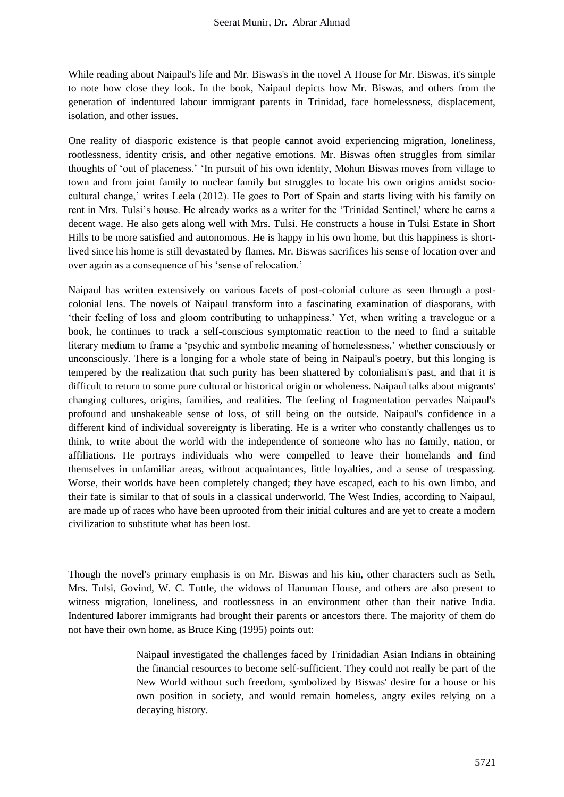While reading about Naipaul's life and Mr. Biswas's in the novel A House for Mr. Biswas, it's simple to note how close they look. In the book, Naipaul depicts how Mr. Biswas, and others from the generation of indentured labour immigrant parents in Trinidad, face homelessness, displacement, isolation, and other issues.

One reality of diasporic existence is that people cannot avoid experiencing migration, loneliness, rootlessness, identity crisis, and other negative emotions. Mr. Biswas often struggles from similar thoughts of 'out of placeness.' 'In pursuit of his own identity, Mohun Biswas moves from village to town and from joint family to nuclear family but struggles to locate his own origins amidst sociocultural change,' writes Leela (2012). He goes to Port of Spain and starts living with his family on rent in Mrs. Tulsi's house. He already works as a writer for the 'Trinidad Sentinel,' where he earns a decent wage. He also gets along well with Mrs. Tulsi. He constructs a house in Tulsi Estate in Short Hills to be more satisfied and autonomous. He is happy in his own home, but this happiness is shortlived since his home is still devastated by flames. Mr. Biswas sacrifices his sense of location over and over again as a consequence of his 'sense of relocation.'

Naipaul has written extensively on various facets of post-colonial culture as seen through a postcolonial lens. The novels of Naipaul transform into a fascinating examination of diasporans, with 'their feeling of loss and gloom contributing to unhappiness.' Yet, when writing a travelogue or a book, he continues to track a self-conscious symptomatic reaction to the need to find a suitable literary medium to frame a 'psychic and symbolic meaning of homelessness,' whether consciously or unconsciously. There is a longing for a whole state of being in Naipaul's poetry, but this longing is tempered by the realization that such purity has been shattered by colonialism's past, and that it is difficult to return to some pure cultural or historical origin or wholeness. Naipaul talks about migrants' changing cultures, origins, families, and realities. The feeling of fragmentation pervades Naipaul's profound and unshakeable sense of loss, of still being on the outside. Naipaul's confidence in a different kind of individual sovereignty is liberating. He is a writer who constantly challenges us to think, to write about the world with the independence of someone who has no family, nation, or affiliations. He portrays individuals who were compelled to leave their homelands and find themselves in unfamiliar areas, without acquaintances, little loyalties, and a sense of trespassing. Worse, their worlds have been completely changed; they have escaped, each to his own limbo, and their fate is similar to that of souls in a classical underworld. The West Indies, according to Naipaul, are made up of races who have been uprooted from their initial cultures and are yet to create a modern civilization to substitute what has been lost.

Though the novel's primary emphasis is on Mr. Biswas and his kin, other characters such as Seth, Mrs. Tulsi, Govind, W. C. Tuttle, the widows of Hanuman House, and others are also present to witness migration, loneliness, and rootlessness in an environment other than their native India. Indentured laborer immigrants had brought their parents or ancestors there. The majority of them do not have their own home, as Bruce King (1995) points out:

> Naipaul investigated the challenges faced by Trinidadian Asian Indians in obtaining the financial resources to become self-sufficient. They could not really be part of the New World without such freedom, symbolized by Biswas' desire for a house or his own position in society, and would remain homeless, angry exiles relying on a decaying history.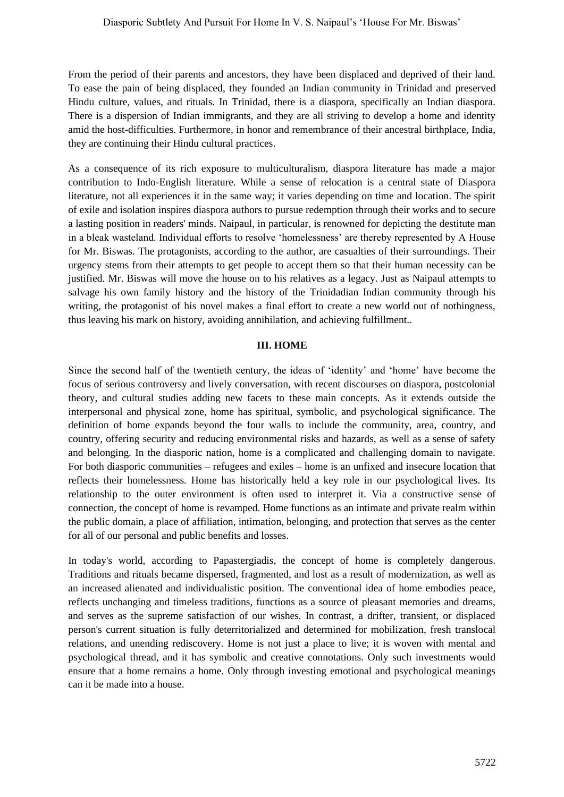From the period of their parents and ancestors, they have been displaced and deprived of their land. To ease the pain of being displaced, they founded an Indian community in Trinidad and preserved Hindu culture, values, and rituals. In Trinidad, there is a diaspora, specifically an Indian diaspora. There is a dispersion of Indian immigrants, and they are all striving to develop a home and identity amid the host-difficulties. Furthermore, in honor and remembrance of their ancestral birthplace, India, they are continuing their Hindu cultural practices.

As a consequence of its rich exposure to multiculturalism, diaspora literature has made a major contribution to Indo-English literature. While a sense of relocation is a central state of Diaspora literature, not all experiences it in the same way; it varies depending on time and location. The spirit of exile and isolation inspires diaspora authors to pursue redemption through their works and to secure a lasting position in readers' minds. Naipaul, in particular, is renowned for depicting the destitute man in a bleak wasteland. Individual efforts to resolve 'homelessness' are thereby represented by A House for Mr. Biswas. The protagonists, according to the author, are casualties of their surroundings. Their urgency stems from their attempts to get people to accept them so that their human necessity can be justified. Mr. Biswas will move the house on to his relatives as a legacy. Just as Naipaul attempts to salvage his own family history and the history of the Trinidadian Indian community through his writing, the protagonist of his novel makes a final effort to create a new world out of nothingness, thus leaving his mark on history, avoiding annihilation, and achieving fulfillment..

#### **III. HOME**

Since the second half of the twentieth century, the ideas of 'identity' and 'home' have become the focus of serious controversy and lively conversation, with recent discourses on diaspora, postcolonial theory, and cultural studies adding new facets to these main concepts. As it extends outside the interpersonal and physical zone, home has spiritual, symbolic, and psychological significance. The definition of home expands beyond the four walls to include the community, area, country, and country, offering security and reducing environmental risks and hazards, as well as a sense of safety and belonging. In the diasporic nation, home is a complicated and challenging domain to navigate. For both diasporic communities – refugees and exiles – home is an unfixed and insecure location that reflects their homelessness. Home has historically held a key role in our psychological lives. Its relationship to the outer environment is often used to interpret it. Via a constructive sense of connection, the concept of home is revamped. Home functions as an intimate and private realm within the public domain, a place of affiliation, intimation, belonging, and protection that serves as the center for all of our personal and public benefits and losses.

In today's world, according to Papastergiadis, the concept of home is completely dangerous. Traditions and rituals became dispersed, fragmented, and lost as a result of modernization, as well as an increased alienated and individualistic position. The conventional idea of home embodies peace, reflects unchanging and timeless traditions, functions as a source of pleasant memories and dreams, and serves as the supreme satisfaction of our wishes. In contrast, a drifter, transient, or displaced person's current situation is fully deterritorialized and determined for mobilization, fresh translocal relations, and unending rediscovery. Home is not just a place to live; it is woven with mental and psychological thread, and it has symbolic and creative connotations. Only such investments would ensure that a home remains a home. Only through investing emotional and psychological meanings can it be made into a house.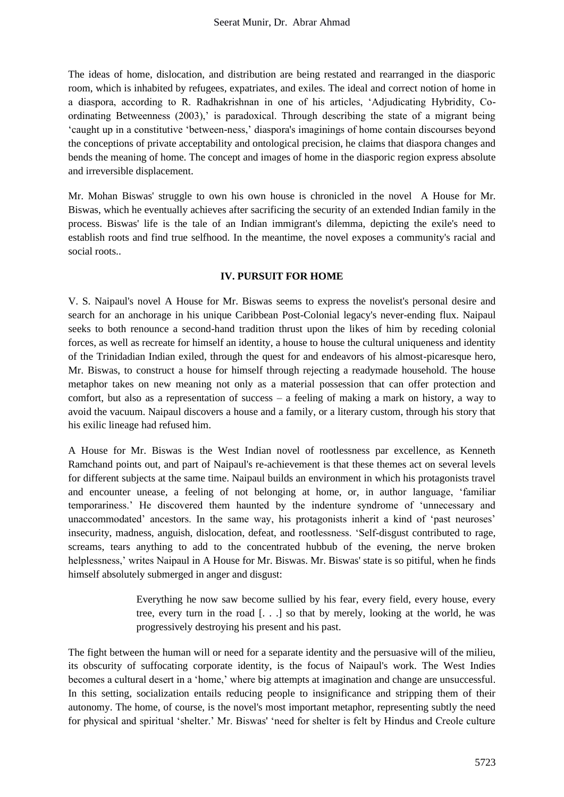The ideas of home, dislocation, and distribution are being restated and rearranged in the diasporic room, which is inhabited by refugees, expatriates, and exiles. The ideal and correct notion of home in a diaspora, according to R. Radhakrishnan in one of his articles, 'Adjudicating Hybridity, Coordinating Betweenness (2003),' is paradoxical. Through describing the state of a migrant being 'caught up in a constitutive 'between-ness,' diaspora's imaginings of home contain discourses beyond the conceptions of private acceptability and ontological precision, he claims that diaspora changes and bends the meaning of home. The concept and images of home in the diasporic region express absolute and irreversible displacement.

Mr. Mohan Biswas' struggle to own his own house is chronicled in the novel A House for Mr. Biswas, which he eventually achieves after sacrificing the security of an extended Indian family in the process. Biswas' life is the tale of an Indian immigrant's dilemma, depicting the exile's need to establish roots and find true selfhood. In the meantime, the novel exposes a community's racial and social roots..

# **IV. PURSUIT FOR HOME**

V. S. Naipaul's novel A House for Mr. Biswas seems to express the novelist's personal desire and search for an anchorage in his unique Caribbean Post-Colonial legacy's never-ending flux. Naipaul seeks to both renounce a second-hand tradition thrust upon the likes of him by receding colonial forces, as well as recreate for himself an identity, a house to house the cultural uniqueness and identity of the Trinidadian Indian exiled, through the quest for and endeavors of his almost-picaresque hero, Mr. Biswas, to construct a house for himself through rejecting a readymade household. The house metaphor takes on new meaning not only as a material possession that can offer protection and comfort, but also as a representation of success – a feeling of making a mark on history, a way to avoid the vacuum. Naipaul discovers a house and a family, or a literary custom, through his story that his exilic lineage had refused him.

A House for Mr. Biswas is the West Indian novel of rootlessness par excellence, as Kenneth Ramchand points out, and part of Naipaul's re-achievement is that these themes act on several levels for different subjects at the same time. Naipaul builds an environment in which his protagonists travel and encounter unease, a feeling of not belonging at home, or, in author language, 'familiar temporariness.' He discovered them haunted by the indenture syndrome of 'unnecessary and unaccommodated' ancestors. In the same way, his protagonists inherit a kind of 'past neuroses' insecurity, madness, anguish, dislocation, defeat, and rootlessness. 'Self-disgust contributed to rage, screams, tears anything to add to the concentrated hubbub of the evening, the nerve broken helplessness,' writes Naipaul in A House for Mr. Biswas. Mr. Biswas' state is so pitiful, when he finds himself absolutely submerged in anger and disgust:

> Everything he now saw become sullied by his fear, every field, every house, every tree, every turn in the road [. . .] so that by merely, looking at the world, he was progressively destroying his present and his past.

The fight between the human will or need for a separate identity and the persuasive will of the milieu, its obscurity of suffocating corporate identity, is the focus of Naipaul's work. The West Indies becomes a cultural desert in a 'home,' where big attempts at imagination and change are unsuccessful. In this setting, socialization entails reducing people to insignificance and stripping them of their autonomy. The home, of course, is the novel's most important metaphor, representing subtly the need for physical and spiritual 'shelter.' Mr. Biswas' 'need for shelter is felt by Hindus and Creole culture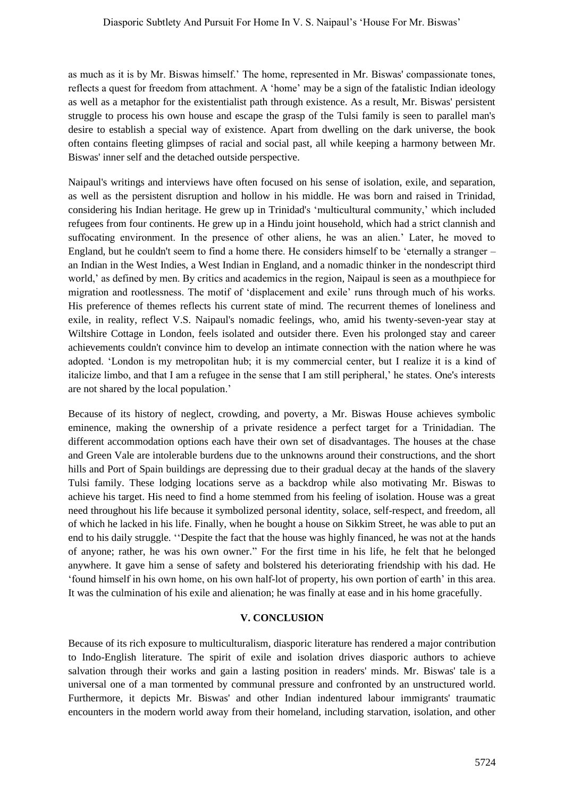as much as it is by Mr. Biswas himself.' The home, represented in Mr. Biswas' compassionate tones, reflects a quest for freedom from attachment. A 'home' may be a sign of the fatalistic Indian ideology as well as a metaphor for the existentialist path through existence. As a result, Mr. Biswas' persistent struggle to process his own house and escape the grasp of the Tulsi family is seen to parallel man's desire to establish a special way of existence. Apart from dwelling on the dark universe, the book often contains fleeting glimpses of racial and social past, all while keeping a harmony between Mr. Biswas' inner self and the detached outside perspective.

Naipaul's writings and interviews have often focused on his sense of isolation, exile, and separation, as well as the persistent disruption and hollow in his middle. He was born and raised in Trinidad, considering his Indian heritage. He grew up in Trinidad's 'multicultural community,' which included refugees from four continents. He grew up in a Hindu joint household, which had a strict clannish and suffocating environment. In the presence of other aliens, he was an alien.' Later, he moved to England, but he couldn't seem to find a home there. He considers himself to be 'eternally a stranger – an Indian in the West Indies, a West Indian in England, and a nomadic thinker in the nondescript third world,' as defined by men. By critics and academics in the region, Naipaul is seen as a mouthpiece for migration and rootlessness. The motif of 'displacement and exile' runs through much of his works. His preference of themes reflects his current state of mind. The recurrent themes of loneliness and exile, in reality, reflect V.S. Naipaul's nomadic feelings, who, amid his twenty-seven-year stay at Wiltshire Cottage in London, feels isolated and outsider there. Even his prolonged stay and career achievements couldn't convince him to develop an intimate connection with the nation where he was adopted. 'London is my metropolitan hub; it is my commercial center, but I realize it is a kind of italicize limbo, and that I am a refugee in the sense that I am still peripheral,' he states. One's interests are not shared by the local population.'

Because of its history of neglect, crowding, and poverty, a Mr. Biswas House achieves symbolic eminence, making the ownership of a private residence a perfect target for a Trinidadian. The different accommodation options each have their own set of disadvantages. The houses at the chase and Green Vale are intolerable burdens due to the unknowns around their constructions, and the short hills and Port of Spain buildings are depressing due to their gradual decay at the hands of the slavery Tulsi family. These lodging locations serve as a backdrop while also motivating Mr. Biswas to achieve his target. His need to find a home stemmed from his feeling of isolation. House was a great need throughout his life because it symbolized personal identity, solace, self-respect, and freedom, all of which he lacked in his life. Finally, when he bought a house on Sikkim Street, he was able to put an end to his daily struggle. ''Despite the fact that the house was highly financed, he was not at the hands of anyone; rather, he was his own owner." For the first time in his life, he felt that he belonged anywhere. It gave him a sense of safety and bolstered his deteriorating friendship with his dad. He 'found himself in his own home, on his own half-lot of property, his own portion of earth' in this area. It was the culmination of his exile and alienation; he was finally at ease and in his home gracefully.

#### **V. CONCLUSION**

Because of its rich exposure to multiculturalism, diasporic literature has rendered a major contribution to Indo-English literature. The spirit of exile and isolation drives diasporic authors to achieve salvation through their works and gain a lasting position in readers' minds. Mr. Biswas' tale is a universal one of a man tormented by communal pressure and confronted by an unstructured world. Furthermore, it depicts Mr. Biswas' and other Indian indentured labour immigrants' traumatic encounters in the modern world away from their homeland, including starvation, isolation, and other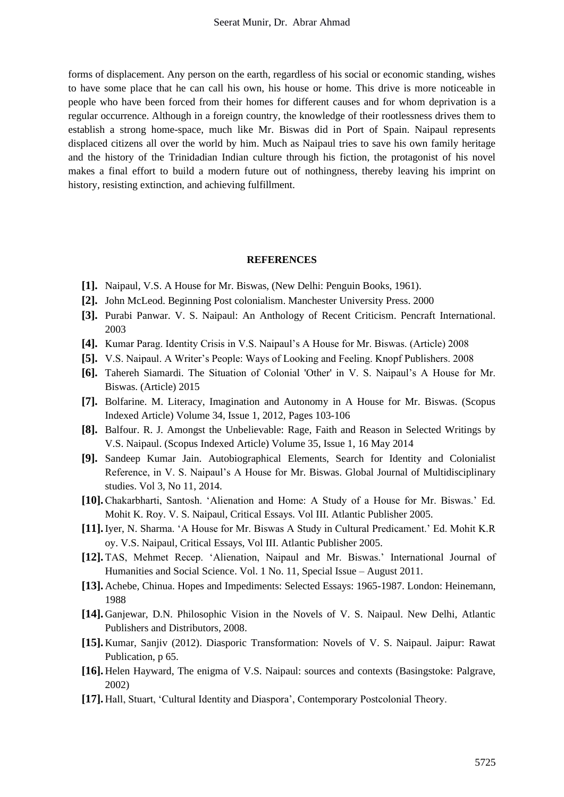forms of displacement. Any person on the earth, regardless of his social or economic standing, wishes to have some place that he can call his own, his house or home. This drive is more noticeable in people who have been forced from their homes for different causes and for whom deprivation is a regular occurrence. Although in a foreign country, the knowledge of their rootlessness drives them to establish a strong home-space, much like Mr. Biswas did in Port of Spain. Naipaul represents displaced citizens all over the world by him. Much as Naipaul tries to save his own family heritage and the history of the Trinidadian Indian culture through his fiction, the protagonist of his novel makes a final effort to build a modern future out of nothingness, thereby leaving his imprint on history, resisting extinction, and achieving fulfillment.

#### **REFERENCES**

- **[1].** Naipaul, V.S. A House for Mr. Biswas, (New Delhi: Penguin Books, 1961).
- **[2].** John McLeod. Beginning Post colonialism. Manchester University Press. 2000
- **[3].** Purabi Panwar. V. S. Naipaul: An Anthology of Recent Criticism. Pencraft International. 2003
- **[4].** Kumar Parag. Identity Crisis in V.S. Naipaul's A House for Mr. Biswas. (Article) 2008
- **[5].** V.S. Naipaul. A Writer's People: Ways of Looking and Feeling. Knopf Publishers. 2008
- **[6].** Tahereh Siamardi. The Situation of Colonial 'Other' in V. S. Naipaul's A House for Mr. Biswas. (Article) 2015
- **[7].** Bolfarine. M. Literacy, Imagination and Autonomy in A House for Mr. Biswas. (Scopus Indexed Article) Volume 34, Issue 1, 2012, Pages 103-106
- **[8].** Balfour. R. J. Amongst the Unbelievable: Rage, Faith and Reason in Selected Writings by V.S. Naipaul. (Scopus Indexed Article) Volume 35, Issue 1, 16 May 2014
- **[9].** Sandeep Kumar Jain. Autobiographical Elements, Search for Identity and Colonialist Reference, in V. S. Naipaul's A House for Mr. Biswas. Global Journal of Multidisciplinary studies. Vol 3, No 11, 2014.
- **[10].**Chakarbharti, Santosh. 'Alienation and Home: A Study of a House for Mr. Biswas.' Ed. Mohit K. Roy. V. S. Naipaul, Critical Essays. Vol III. Atlantic Publisher 2005.
- **[11].**Iyer, N. Sharma. 'A House for Mr. Biswas A Study in Cultural Predicament.' Ed. Mohit K.R oy. V.S. Naipaul, Critical Essays, Vol III. Atlantic Publisher 2005.
- **[12].** TAS, Mehmet Recep. 'Alienation, Naipaul and Mr. Biswas.' International Journal of Humanities and Social Science. Vol. 1 No. 11, Special Issue – August 2011.
- **[13].** Achebe, Chinua. Hopes and Impediments: Selected Essays: 1965-1987. London: Heinemann, 1988
- **[14].** Ganjewar, D.N. Philosophic Vision in the Novels of V. S. Naipaul. New Delhi, Atlantic Publishers and Distributors, 2008.
- **[15].** Kumar, Sanjiv (2012). Diasporic Transformation: Novels of V. S. Naipaul. Jaipur: Rawat Publication, p 65.
- **[16].** Helen Hayward, The enigma of V.S. Naipaul: sources and contexts (Basingstoke: Palgrave, 2002)
- **[17].** Hall, Stuart, 'Cultural Identity and Diaspora', Contemporary Postcolonial Theory.